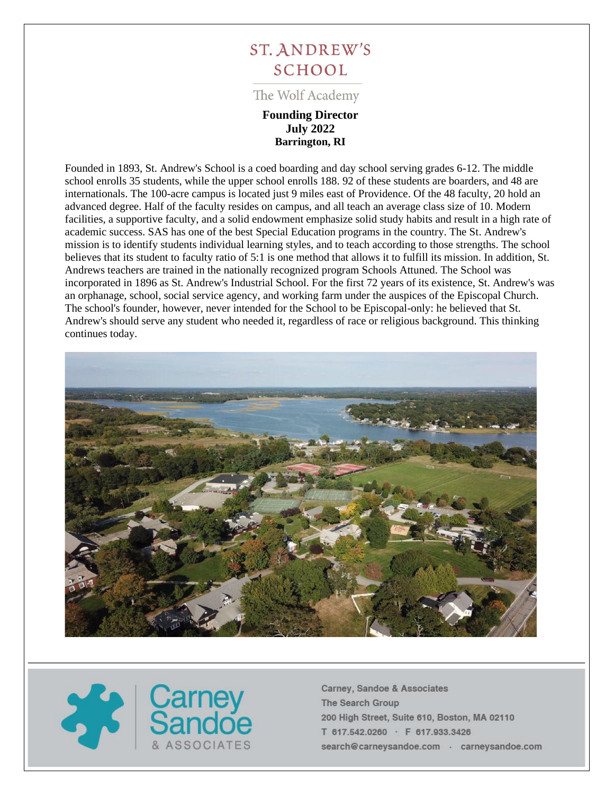# **ST. ANDREW'S SCHOOL**

The Wolf Academy

# **Founding Director July 2022 Barrington, RI**

Founded in 1893, St. Andrew's School is a coed boarding and day school serving grades 6-12. The middle school enrolls 35 students, while the upper school enrolls 188. 92 of these students are boarders, and 48 are internationals. The 100-acre campus is located just 9 miles east of Providence. Of the 48 faculty, 20 hold an advanced degree. Half of the faculty resides on campus, and all teach an average class size of 10. Modern facilities, a supportive faculty, and a solid endowment emphasize solid study habits and result in a high rate of academic success. SAS has one of the best Special Education programs in the country. The St. Andrew's mission is to identify students individual learning styles, and to teach according to those strengths. The school believes that its student to faculty ratio of 5:1 is one method that allows it to fulfill its mission. In addition, St. Andrews teachers are trained in the nationally recognized program Schools Attuned. The School was incorporated in 1896 as St. Andrew's Industrial School. For the first 72 years of its existence, St. Andrew's was an orphanage, school, social service agency, and working farm under the auspices of the Episcopal Church. The school's founder, however, never intended for the School to be Episcopal-only: he believed that St. Andrew's should serve any student who needed it, regardless of race or religious background. This thinking continues today.



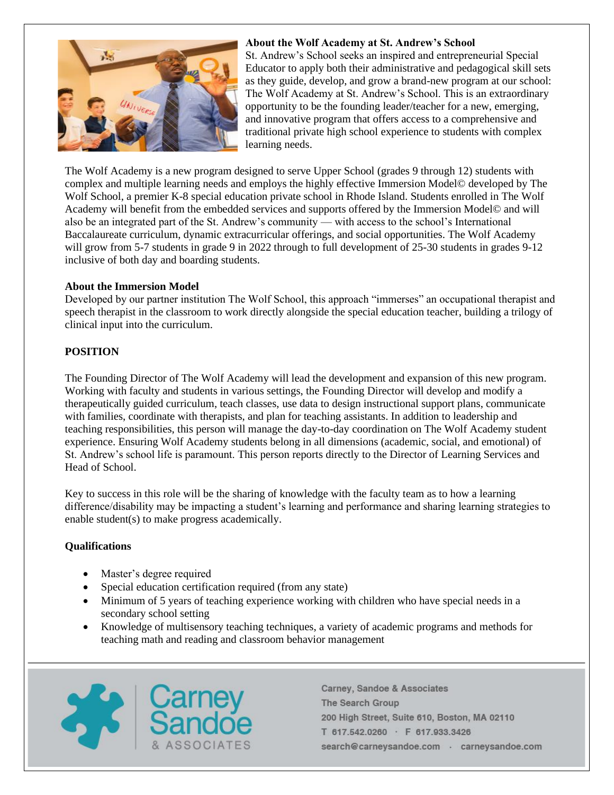

#### **About the Wolf Academy at St. Andrew's School**

St. Andrew's School seeks an inspired and entrepreneurial Special Educator to apply both their administrative and pedagogical skill sets as they guide, develop, and grow a brand-new program at our school: The Wolf Academy at St. Andrew's School. This is an extraordinary opportunity to be the founding leader/teacher for a new, emerging, and innovative program that offers access to a comprehensive and traditional private high school experience to students with complex learning needs.

The Wolf Academy is a new program designed to serve Upper School (grades 9 through 12) students with complex and multiple learning needs and employs the highly effective Immersion Model© developed by The Wolf School, a premier K-8 special education private school in Rhode Island. Students enrolled in The Wolf Academy will benefit from the embedded services and supports offered by the Immersion Model© and will also be an integrated part of the St. Andrew's community — with access to the school's International Baccalaureate curriculum, dynamic extracurricular offerings, and social opportunities. The Wolf Academy will grow from 5-7 students in grade 9 in 2022 through to full development of 25-30 students in grades 9-12 inclusive of both day and boarding students.

#### **About the Immersion Model**

Developed by our partner institution The Wolf School, this approach "immerses" an occupational therapist and speech therapist in the classroom to work directly alongside the special education teacher, building a trilogy of clinical input into the curriculum.

## **POSITION**

The Founding Director of The Wolf Academy will lead the development and expansion of this new program. Working with faculty and students in various settings, the Founding Director will develop and modify a therapeutically guided curriculum, teach classes, use data to design instructional support plans, communicate with families, coordinate with therapists, and plan for teaching assistants. In addition to leadership and teaching responsibilities, this person will manage the day-to-day coordination on The Wolf Academy student experience. Ensuring Wolf Academy students belong in all dimensions (academic, social, and emotional) of St. Andrew's school life is paramount. This person reports directly to the Director of Learning Services and Head of School.

Key to success in this role will be the sharing of knowledge with the faculty team as to how a learning difference/disability may be impacting a student's learning and performance and sharing learning strategies to enable student(s) to make progress academically.

#### **Qualifications**

- Master's degree required
- Special education certification required (from any state)
- Minimum of 5 years of teaching experience working with children who have special needs in a secondary school setting
- Knowledge of multisensory teaching techniques, a variety of academic programs and methods for teaching math and reading and classroom behavior management

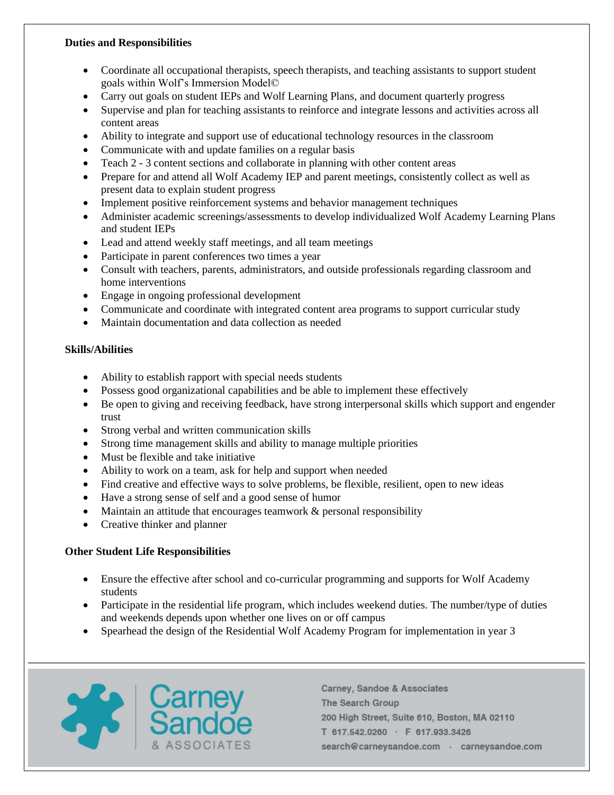## **Duties and Responsibilities**

- Coordinate all occupational therapists, speech therapists, and teaching assistants to support student goals within Wolf's Immersion Model©
- Carry out goals on student IEPs and Wolf Learning Plans, and document quarterly progress
- Supervise and plan for teaching assistants to reinforce and integrate lessons and activities across all content areas
- Ability to integrate and support use of educational technology resources in the classroom
- Communicate with and update families on a regular basis
- Teach 2 3 content sections and collaborate in planning with other content areas
- Prepare for and attend all Wolf Academy IEP and parent meetings, consistently collect as well as present data to explain student progress
- Implement positive reinforcement systems and behavior management techniques
- Administer academic screenings/assessments to develop individualized Wolf Academy Learning Plans and student IEPs
- Lead and attend weekly staff meetings, and all team meetings
- Participate in parent conferences two times a year
- Consult with teachers, parents, administrators, and outside professionals regarding classroom and home interventions
- Engage in ongoing professional development
- Communicate and coordinate with integrated content area programs to support curricular study
- Maintain documentation and data collection as needed

# **Skills/Abilities**

- Ability to establish rapport with special needs students
- Possess good organizational capabilities and be able to implement these effectively
- Be open to giving and receiving feedback, have strong interpersonal skills which support and engender trust
- Strong verbal and written communication skills
- Strong time management skills and ability to manage multiple priorities
- Must be flexible and take initiative
- Ability to work on a team, ask for help and support when needed
- Find creative and effective ways to solve problems, be flexible, resilient, open to new ideas
- Have a strong sense of self and a good sense of humor
- Maintain an attitude that encourages teamwork & personal responsibility
- Creative thinker and planner

# **Other Student Life Responsibilities**

- Ensure the effective after school and co-curricular programming and supports for Wolf Academy students
- Participate in the residential life program, which includes weekend duties. The number/type of duties and weekends depends upon whether one lives on or off campus
- Spearhead the design of the Residential Wolf Academy Program for implementation in year 3